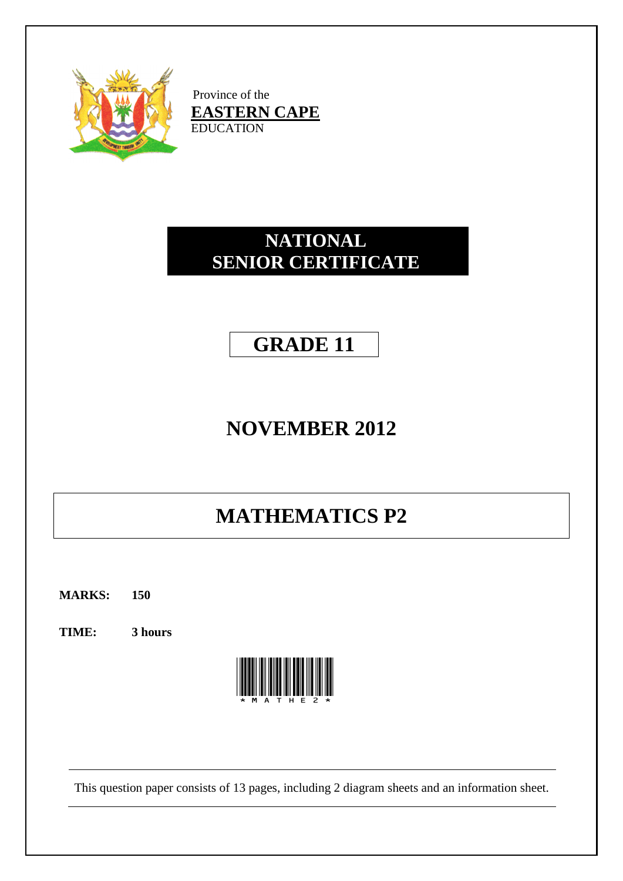

Province of the **EASTERN CAPE** EDUCATION

# **NATIONAL SENIOR CERTIFICATE**

# **GRADE 11**

# **NOVEMBER 2012**

# **MATHEMATICS P2**

**MARKS: 150**

**TIME: 3 hours**



This question paper consists of 13 pages, including 2 diagram sheets and an information sheet.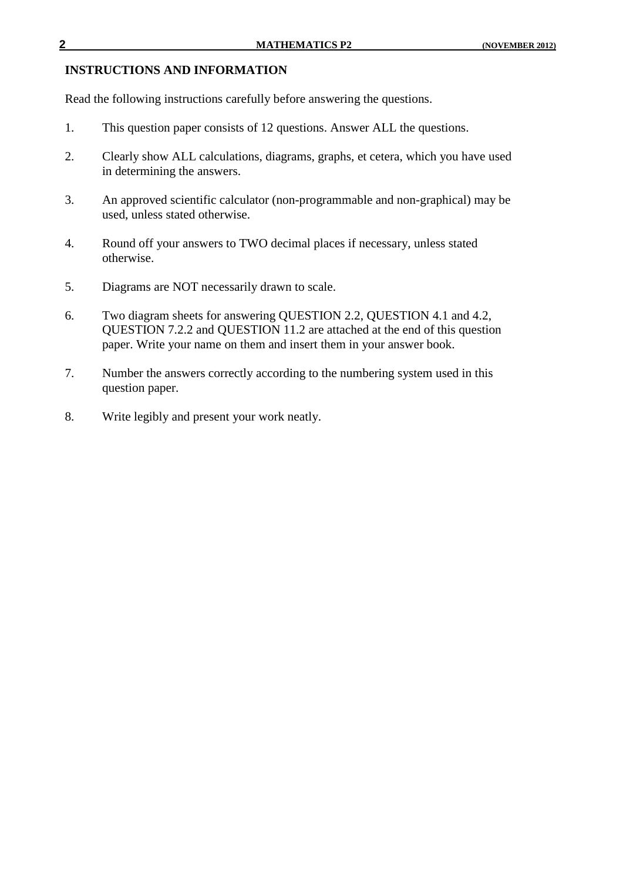#### **INSTRUCTIONS AND INFORMATION**

Read the following instructions carefully before answering the questions.

- 1. This question paper consists of 12 questions. Answer ALL the questions.
- 2. Clearly show ALL calculations, diagrams, graphs, et cetera, which you have used in determining the answers.
- 3. An approved scientific calculator (non-programmable and non-graphical) may be used, unless stated otherwise.
- 4. Round off your answers to TWO decimal places if necessary, unless stated otherwise.
- 5. Diagrams are NOT necessarily drawn to scale.
- 6. Two diagram sheets for answering QUESTION 2.2, QUESTION 4.1 and 4.2, QUESTION 7.2.2 and QUESTION 11.2 are attached at the end of this question paper. Write your name on them and insert them in your answer book.
- 7. Number the answers correctly according to the numbering system used in this question paper.
- 8. Write legibly and present your work neatly.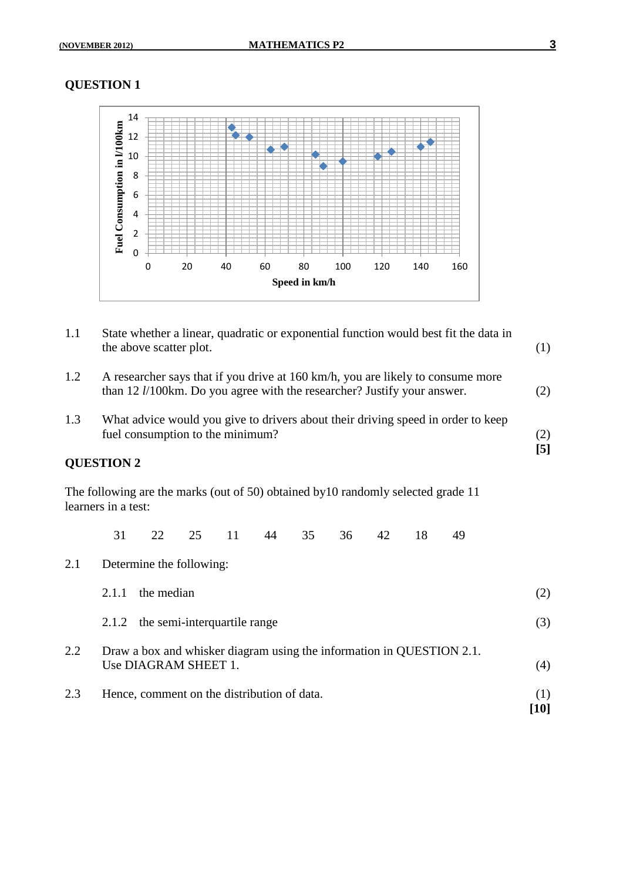

| 1.1 | State whether a linear, quadratic or exponential function would best fit the data in<br>the above scatter plot.                                                    | (1)                                                                                                                                                                                                                                                                                                                              |  |
|-----|--------------------------------------------------------------------------------------------------------------------------------------------------------------------|----------------------------------------------------------------------------------------------------------------------------------------------------------------------------------------------------------------------------------------------------------------------------------------------------------------------------------|--|
| 1.2 | A researcher says that if you drive at 160 km/h, you are likely to consume more<br>than 12 <i>l</i> /100km. Do you agree with the researcher? Justify your answer. |                                                                                                                                                                                                                                                                                                                                  |  |
| 1.3 | What advice would you give to drivers about their driving speed in order to keep<br>fuel consumption to the minimum?                                               | (2)<br>$[5]$                                                                                                                                                                                                                                                                                                                     |  |
|     | <b>QUESTION 2</b>                                                                                                                                                  |                                                                                                                                                                                                                                                                                                                                  |  |
|     | The following are the marks (out of 50) obtained by 10 randomly selected grade 11<br>learners in a test:                                                           |                                                                                                                                                                                                                                                                                                                                  |  |
|     | 31<br>35<br>18<br>22<br>25<br>11<br>44<br>36<br>42<br>49                                                                                                           |                                                                                                                                                                                                                                                                                                                                  |  |
| 2.1 | Determine the following:                                                                                                                                           |                                                                                                                                                                                                                                                                                                                                  |  |
|     | the median<br>2.1.1                                                                                                                                                | (2)                                                                                                                                                                                                                                                                                                                              |  |
|     | 2.1.2 the semi-interquartile range                                                                                                                                 | (3)                                                                                                                                                                                                                                                                                                                              |  |
| 2.2 | Draw a box and whisker diagram using the information in QUESTION 2.1.<br>Use DIAGRAM SHEET 1.                                                                      | (4)                                                                                                                                                                                                                                                                                                                              |  |
| 2.3 | Hence, comment on the distribution of data.                                                                                                                        | (1)<br>$[10] % \includegraphics[width=1\textwidth]{images/TrDiM-Architecture.png} % \caption{The first two different values of $d$-error of the estimators in the image. The first two different values of $d$-error of the input and the first two different values of $d$-error of the input.} % \label{TrDiM-Architecture} %$ |  |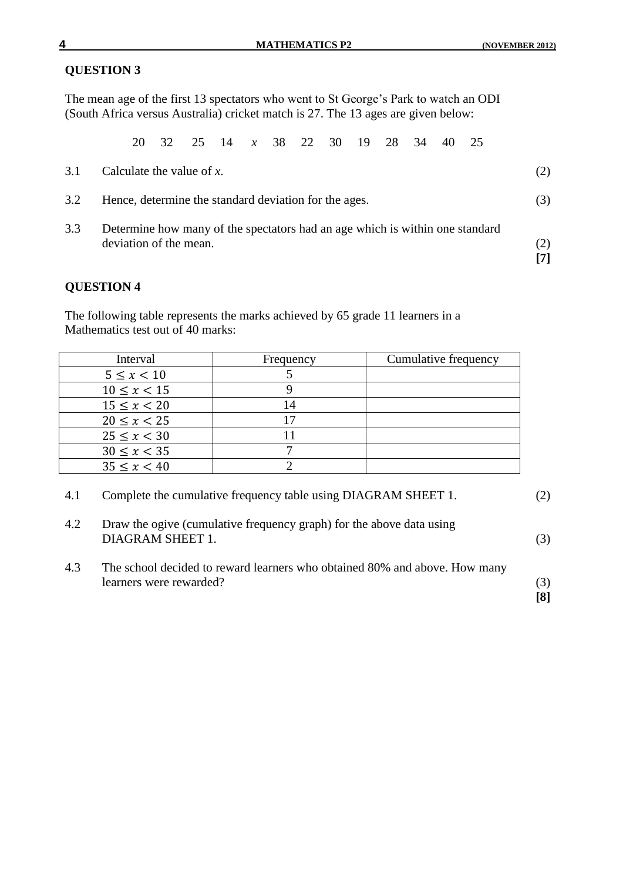The mean age of the first 13 spectators who went to St George's Park to watch an ODI (South Africa versus Australia) cricket match is 27. The 13 ages are given below:

20 32 25 14 *x* 38 22 30 19 28 34 40 25

| 3.1 | Calculate the value of $x$ .                                                                           | (2)        |
|-----|--------------------------------------------------------------------------------------------------------|------------|
| 3.2 | Hence, determine the standard deviation for the ages.                                                  | (3)        |
| 3.3 | Determine how many of the spectators had an age which is within one standard<br>deviation of the mean. | (2)<br>[7] |

## **QUESTION 4**

The following table represents the marks achieved by 65 grade 11 learners in a Mathematics test out of 40 marks:

| Interval        | Frequency | Cumulative frequency |
|-----------------|-----------|----------------------|
| $5 \le x < 10$  |           |                      |
| $10 \le x < 15$ |           |                      |
| $15 \le x < 20$ |           |                      |
| $20 \le x < 25$ |           |                      |
| $25 \le x < 30$ |           |                      |
| $30 \le x < 35$ |           |                      |
| $35 \le x < 40$ |           |                      |

| 4.1 | Complete the cumulative frequency table using DIAGRAM SHEET 1. | (2) |
|-----|----------------------------------------------------------------|-----|
|-----|----------------------------------------------------------------|-----|

| 4.2 | Draw the ogive (cumulative frequency graph) for the above data using<br>DIAGRAM SHEET 1.              | (3)        |
|-----|-------------------------------------------------------------------------------------------------------|------------|
| 4.3 | The school decided to reward learners who obtained 80% and above. How many<br>learners were rewarded? | (3)<br>[8] |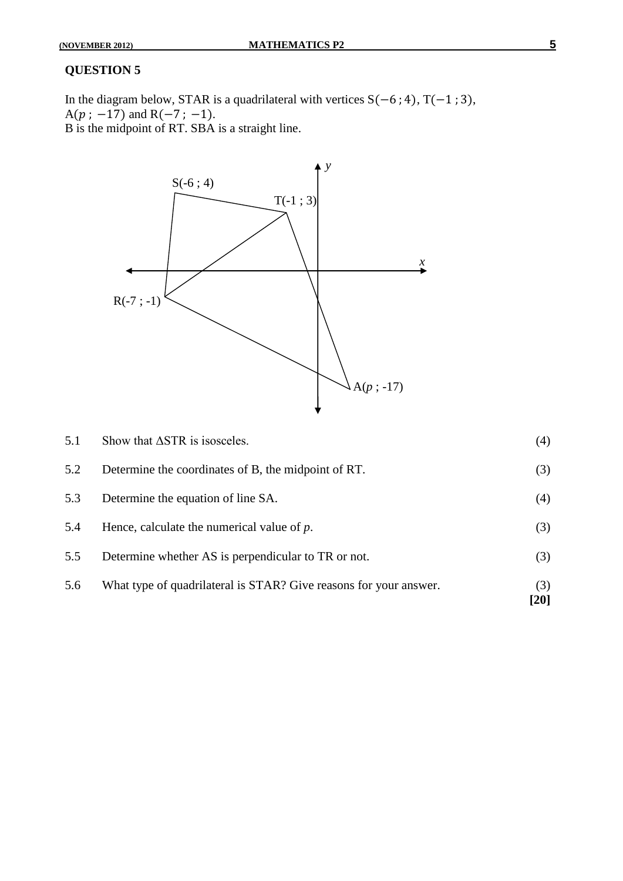In the diagram below, STAR is a quadrilateral with vertices  $S(-6; 4)$ ,  $T(-1; 3)$ ,  $A(p; -17)$  and  $R(-7; -1)$ . B is the midpoint of RT. SBA is a straight line.



| 5.6 | What type of quadrilateral is STAR? Give reasons for your answer. | (3)<br>$[20]$ |
|-----|-------------------------------------------------------------------|---------------|
| 5.5 | Determine whether AS is perpendicular to TR or not.               | (3)           |
| 5.4 | Hence, calculate the numerical value of $p$ .                     | (3)           |
| 5.3 | Determine the equation of line SA.                                | (4)           |
| 5.2 | Determine the coordinates of B, the midpoint of RT.               | (3)           |
| 5.1 | Show that $\triangle$ STR is isosceles.                           | (4)           |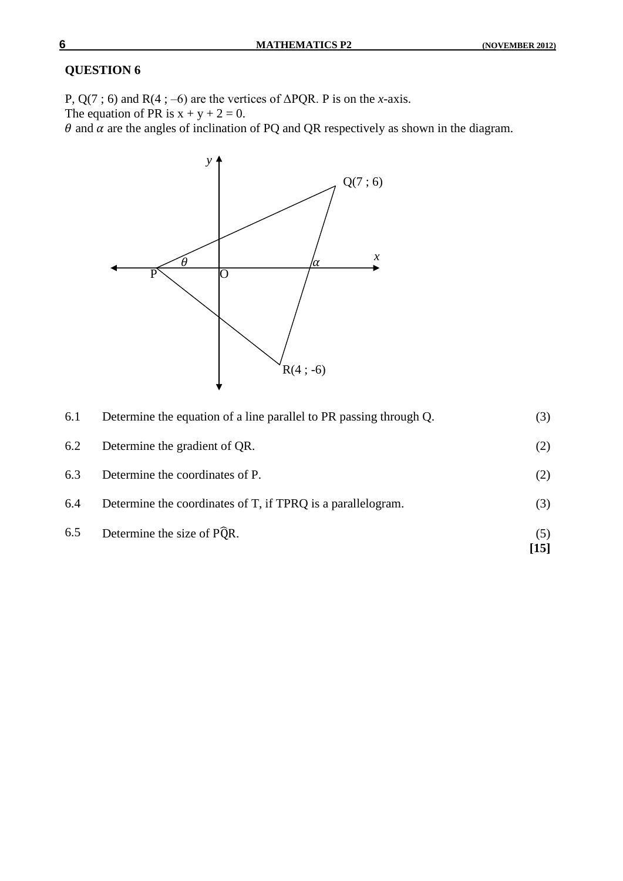P,  $Q(7; 6)$  and  $R(4; -6)$  are the vertices of  $\triangle PQR$ . P is on the *x*-axis.

The equation of PR is  $x + y + 2 = 0$ .

 $\theta$  and  $\alpha$  are the angles of inclination of PQ and QR respectively as shown in the diagram.



|     |                                                                    | $[15]$ |
|-----|--------------------------------------------------------------------|--------|
| 6.5 | Determine the size of PQR.                                         | (5)    |
| 6.4 | Determine the coordinates of T, if TPRQ is a parallelogram.        | (3)    |
| 6.3 | Determine the coordinates of P.                                    | (2)    |
| 6.2 | Determine the gradient of QR.                                      | (2)    |
| 6.1 | Determine the equation of a line parallel to PR passing through Q. | (3)    |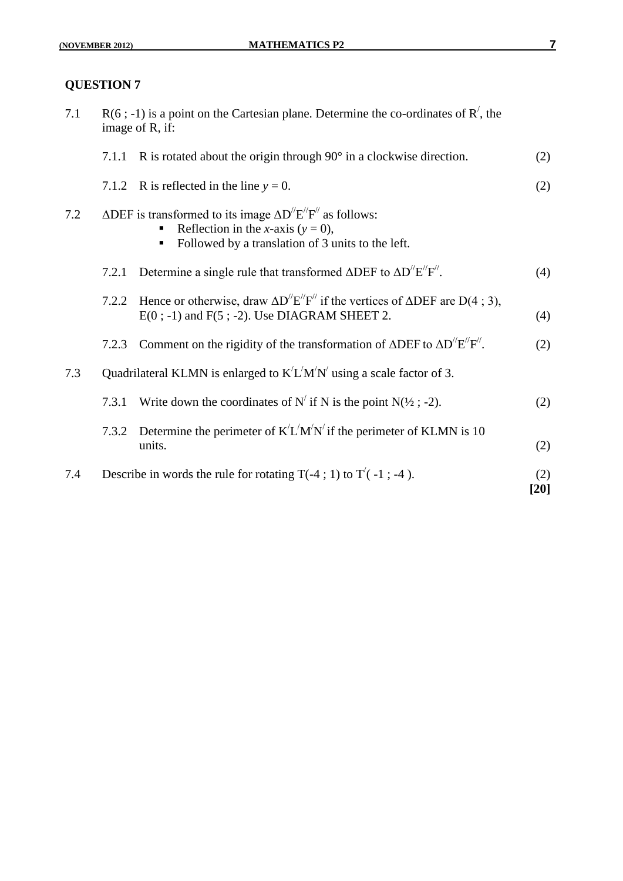| 7.1 | $R(6; -1)$ is a point on the Cartesian plane. Determine the co-ordinates of $R'$ , the<br>image of R, if: |                                                                                                                                                                                                                                 |               |
|-----|-----------------------------------------------------------------------------------------------------------|---------------------------------------------------------------------------------------------------------------------------------------------------------------------------------------------------------------------------------|---------------|
|     | 7.1.1                                                                                                     | R is rotated about the origin through $90^\circ$ in a clockwise direction.                                                                                                                                                      | (2)           |
|     |                                                                                                           | 7.1.2 R is reflected in the line $y = 0$ .                                                                                                                                                                                      | (2)           |
| 7.2 |                                                                                                           | $\triangle DEF$ is transformed to its image $\triangle D^{\prime\prime}E^{\prime\prime}F^{\prime\prime}$ as follows:<br>Reflection in the <i>x</i> -axis ( $y = 0$ ),<br>Followed by a translation of 3 units to the left.<br>٠ |               |
|     | 7.2.1                                                                                                     | Determine a single rule that transformed $\triangle DEF$ to $\triangle D''E''F''$ .                                                                                                                                             | (4)           |
|     | 7.2.2                                                                                                     | Hence or otherwise, draw $\Delta D^{\prime\prime} E^{\prime\prime} F^{\prime\prime}$ if the vertices of $\Delta DEF$ are $D(4; 3)$ ,<br>$E(0; -1)$ and $F(5; -2)$ . Use DIAGRAM SHEET 2.                                        | (4)           |
|     | 7.2.3                                                                                                     | Comment on the rigidity of the transformation of $\triangle DEF$ to $\triangle D^{\prime\prime}E^{\prime\prime}F^{\prime\prime}$ .                                                                                              | (2)           |
| 7.3 |                                                                                                           | Quadrilateral KLMN is enlarged to $K/L'M'N'$ using a scale factor of 3.                                                                                                                                                         |               |
|     | 7.3.1                                                                                                     | Write down the coordinates of N' if N is the point N( $\frac{1}{2}$ ; -2).                                                                                                                                                      | (2)           |
|     | 7.3.2                                                                                                     | Determine the perimeter of $K'L'M'N'$ if the perimeter of KLMN is 10<br>units.                                                                                                                                                  | (2)           |
| 7.4 |                                                                                                           | Describe in words the rule for rotating $T(-4; 1)$ to $T'(-1; -4)$ .                                                                                                                                                            | (2)<br>$[20]$ |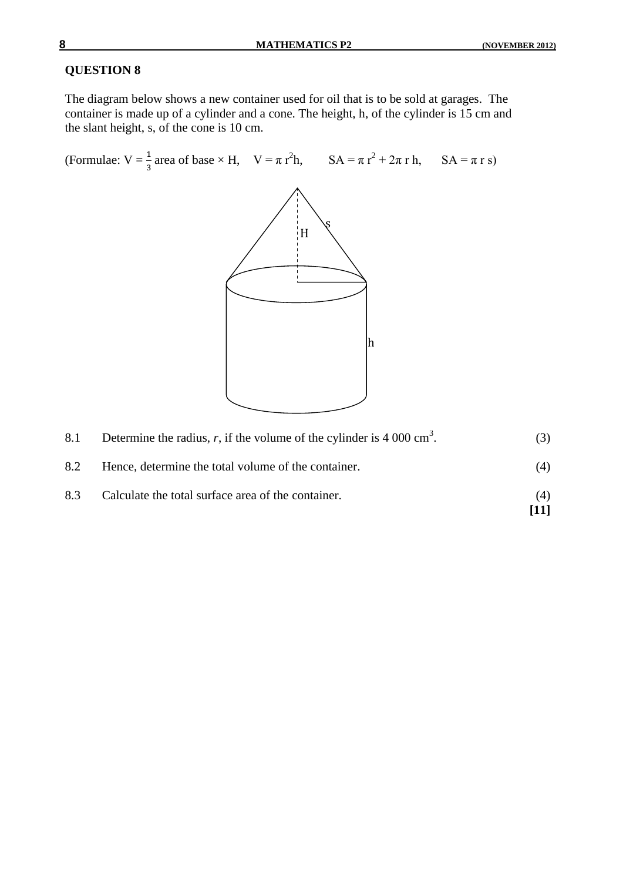**[11]**

## **QUESTION 8**

The diagram below shows a new container used for oil that is to be sold at garages. The container is made up of a cylinder and a cone. The height, h, of the cylinder is 15 cm and the slant height, s, of the cone is 10 cm.

(Formulae:  $V = \frac{1}{3}$  area of base  $\times$  H,  $V = \pi r^2 h$ ,  $SA = \pi r^2 + 2\pi r h$ ,  $SA = \pi r s$ )



| 8.1 | Determine the radius, r, if the volume of the cylinder is 4 000 cm <sup>3</sup> . | (3) |
|-----|-----------------------------------------------------------------------------------|-----|
| 8.2 | Hence, determine the total volume of the container.                               | (4) |
| 8.3 | Calculate the total surface area of the container.                                | (4) |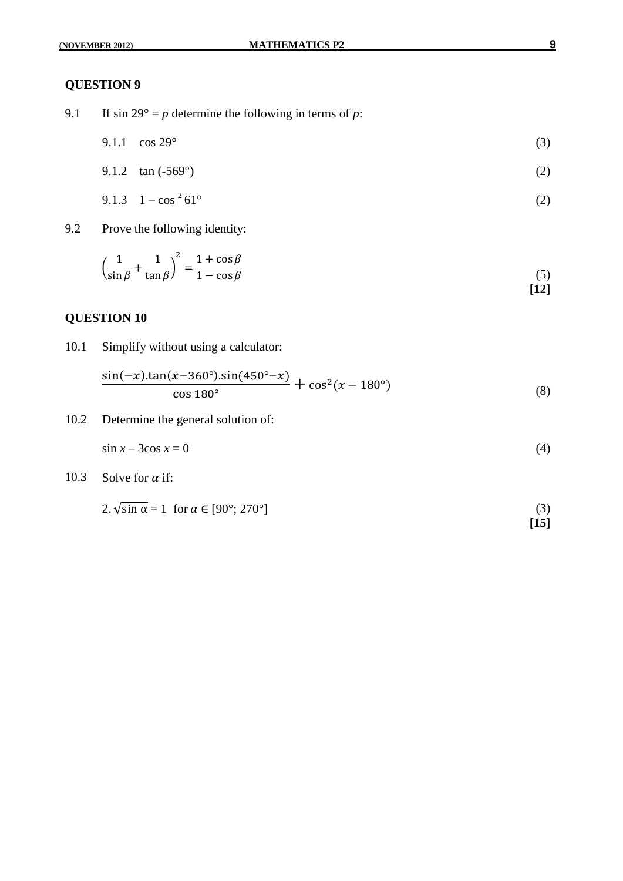- 9.1 If  $\sin 29^\circ = p$  determine the following in terms of *p*:
	- 9.1.1  $\cos 29^\circ$  (3)

9.1.2 
$$
\tan(-569^\circ)
$$
 (2)

$$
9.1.3 \quad 1 - \cos^2 61^\circ \tag{2}
$$

9.2 Prove the following identity:

$$
\left(\frac{1}{\sin\beta} + \frac{1}{\tan\beta}\right)^2 = \frac{1 + \cos\beta}{1 - \cos\beta} \tag{5}
$$

#### **QUESTION 10**

10.1 Simplify without using a calculator:

$$
\frac{\sin(-x).\tan(x-360^\circ).\sin(450^\circ - x)}{\cos 180^\circ} + \cos^2(x - 180^\circ)
$$
\n(8)

10.2 Determine the general solution of:

$$
\sin x - 3\cos x = 0\tag{4}
$$

10.3 Solve for  $\alpha$  if:

$$
2. \sqrt{\sin \alpha} = 1 \quad \text{for } \alpha \in [90^\circ; 270^\circ]
$$
\n<sup>(3)</sup>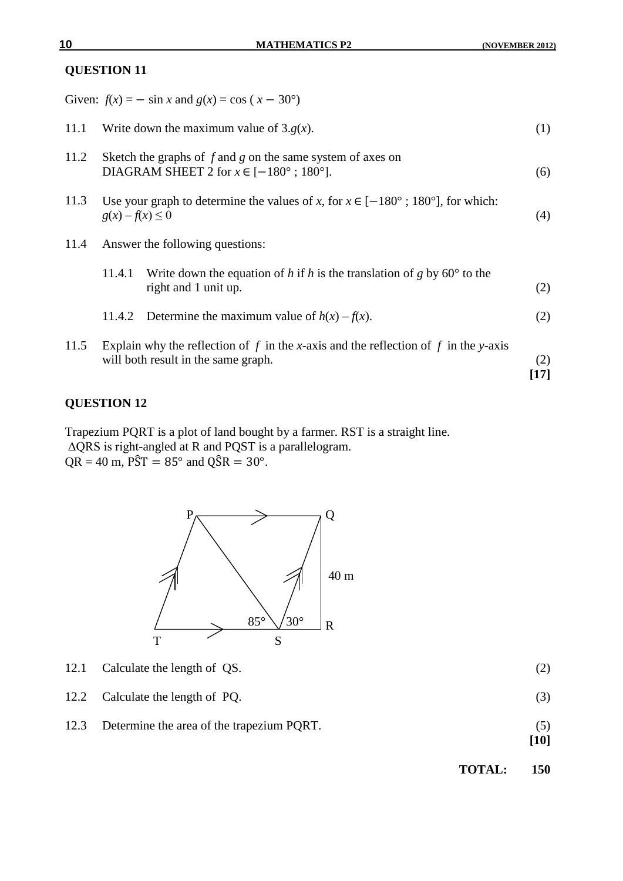|                                         |                                                                                                                              | Given: $f(x) = -\sin x$ and $g(x) = \cos (x - 30^{\circ})$                                                                 |             |
|-----------------------------------------|------------------------------------------------------------------------------------------------------------------------------|----------------------------------------------------------------------------------------------------------------------------|-------------|
| 11.1                                    |                                                                                                                              | Write down the maximum value of $3.g(x)$ .                                                                                 | (1)         |
| 11.2                                    | Sketch the graphs of $f$ and $g$ on the same system of axes on<br>DIAGRAM SHEET 2 for $x \in [-180^{\circ} ; 180^{\circ}]$ . |                                                                                                                            | (6)         |
| 11.3                                    | $g(x) - f(x) \leq 0$                                                                                                         | Use your graph to determine the values of x, for $x \in [-180^{\circ}$ ; 180 <sup>o</sup> ], for which:                    | (4)         |
| Answer the following questions:<br>11.4 |                                                                                                                              |                                                                                                                            |             |
|                                         | 11.4.1                                                                                                                       | Write down the equation of h if h is the translation of g by $60^{\circ}$ to the<br>right and 1 unit up.                   | (2)         |
|                                         | 11.4.2                                                                                                                       | Determine the maximum value of $h(x) - f(x)$ .                                                                             | (2)         |
| 11.5                                    |                                                                                                                              | Explain why the reflection of f in the x-axis and the reflection of f in the y-axis<br>will both result in the same graph. | (2)<br>[17] |

## **QUESTION 12**

Trapezium PQRT is a plot of land bought by a farmer. RST is a straight line. ΔQRS is right-angled at R and PQST is a parallelogram.  $QR = 40$  m,  $\angle$ PST = 85° and  $\angle$ QSR = 30°.



- 12.1 Calculate the length of QS. (2)
- 12.2 Calculate the length of PQ. (3)
- 12.3 Determine the area of the trapezium PQRT. (5)

**[10]**

**TOTAL: 150**

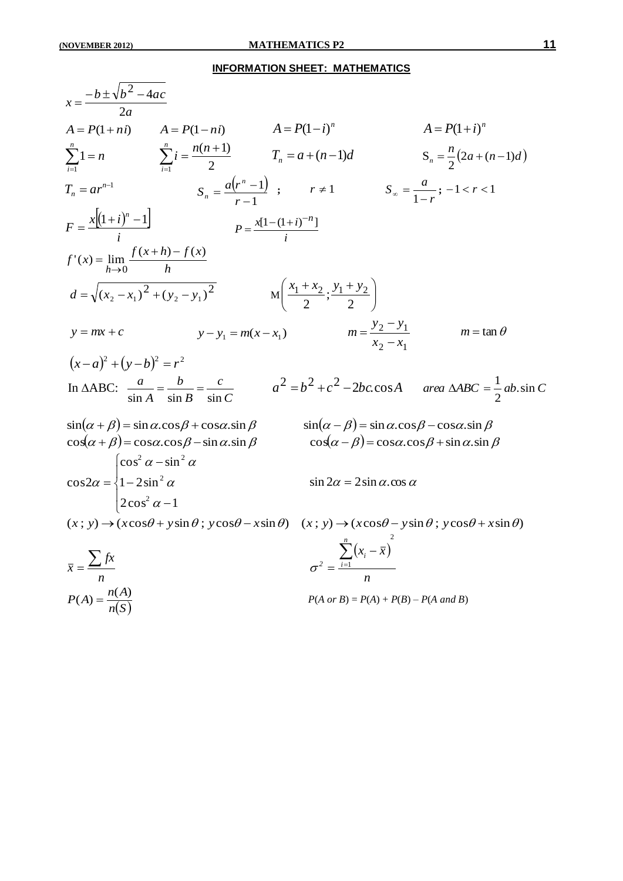#### **INFORMATION SHEET: MATHEMATICS**

$$
x = \frac{-b \pm \sqrt{b^2 - 4ac}}{2a}
$$
  
\n
$$
A = P(1 + n i) \qquad A = P(1 - n i) \qquad A = P(1 - i)^n \qquad A = P(1 + i)^n
$$
  
\n
$$
\sum_{i=1}^{n} 1 = n \qquad \sum_{i=1}^{n} i = \frac{n(n+1)}{2} \qquad T_n = a + (n-1)d \qquad S_n = \frac{n}{2}(2a + (n-1)d)
$$
  
\n
$$
T_n = ar^{n-1} \qquad S_n = \frac{a(r^n - 1)}{r - 1} \qquad r \neq 1 \qquad S_n = \frac{a}{1 - r} \qquad 1 < r < 1
$$
  
\n
$$
F = \frac{x[(1 + i)^n - 1]}{i} \qquad P = \frac{x[1 - (1 + i)^{n-1}]}{i}
$$
  
\n
$$
f'(x) = \lim_{h \to 0} \frac{f(x + h) - f(x)}{h}
$$
  
\n
$$
d = \sqrt{(x_2 - x_1)^2 + (y_2 - y_1)^2} \qquad M\left(\frac{x_1 + x_2}{2}; \frac{y_1 + y_2}{2}\right)
$$
  
\n
$$
y = mx + c \qquad y - y_1 = m(x - x_1) \qquad m = \frac{y_2 - y_1}{x_2 - x_1} \qquad m = \tan \theta
$$
  
\n
$$
(x - a)^2 + (y - b)^2 = r^2
$$
  
\nIn  $\triangle ABC$ :  $\frac{a}{\sin A} = \frac{b}{\sin B} = \frac{c}{\sin C}$   $a^2 = b^2 + c^2 - 2bc \cos A$  *area  $\triangle ABC$*   $= \frac{1}{2}ab.\sin C$   
\n
$$
\sin(\alpha + \beta) = \sin \alpha.\cos \beta + \cos \alpha.\sin \beta
$$
  
\n
$$
\cos(\alpha + \beta) = \cos \alpha.\cos \beta - \sin \alpha.\sin \beta
$$
  
\n
$$
\cos(\alpha - \beta) = \cos \alpha.\cos \beta + \sin \alpha.\sin \beta
$$
  
\n
$$
\cos 2\alpha = \begin{cases} \cos^2 \alpha - \sin^2 \alpha & \sin 2\alpha = 2 \sin \alpha.\cos
$$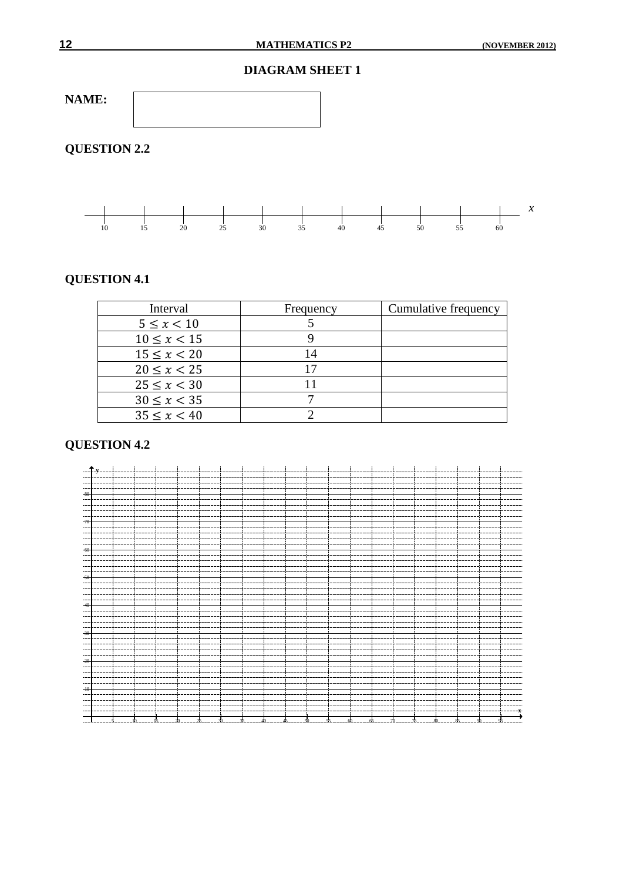#### **DIAGRAM SHEET 1**



# **QUESTION 2.2**



#### **QUESTION 4.1**

| Interval        | Frequency | Cumulative frequency |
|-----------------|-----------|----------------------|
| $5 \le x < 10$  |           |                      |
| $10 \le x < 15$ |           |                      |
| $15 \le x < 20$ | 14        |                      |
| $20 \le x < 25$ |           |                      |
| $25 \le x < 30$ |           |                      |
| $30 \le x < 35$ |           |                      |
| $35 \le x < 40$ |           |                      |

# **QUESTION 4.2**